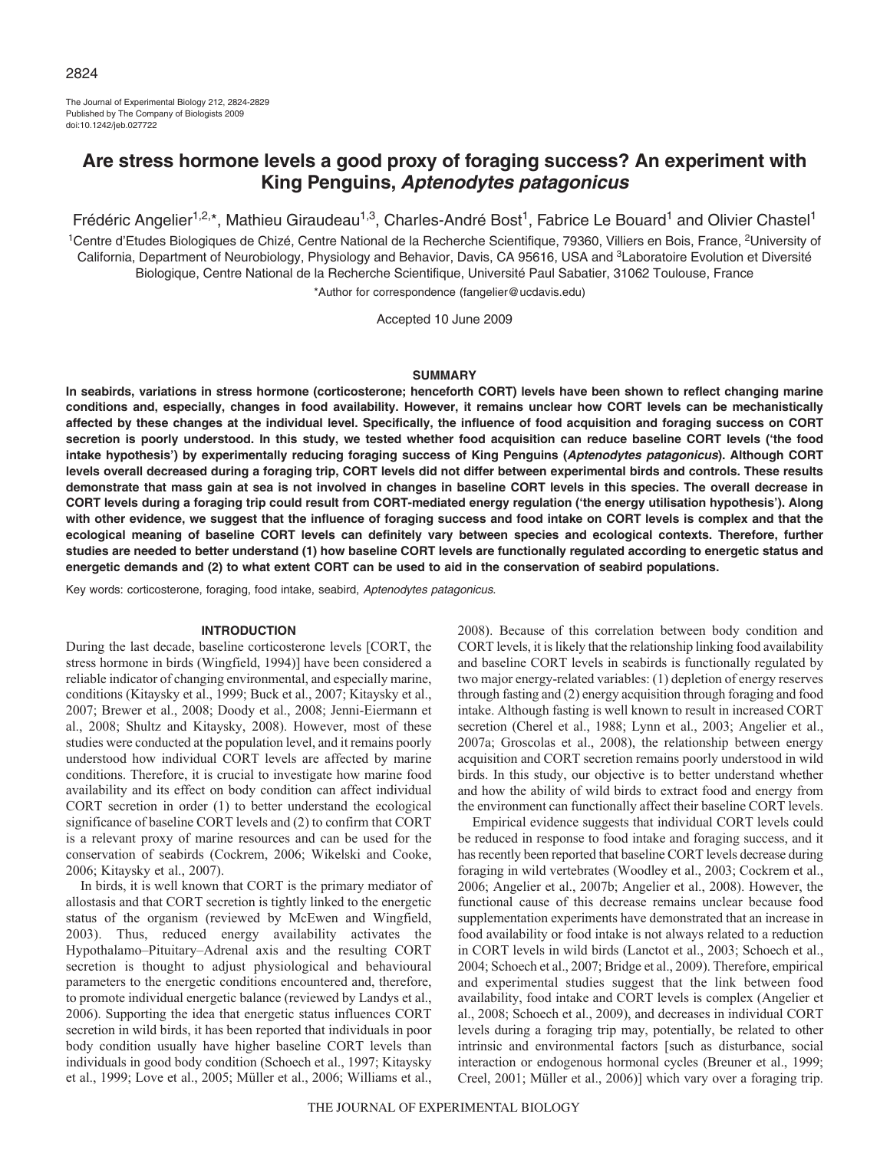The Journal of Experimental Biology 212, 2824-2829 Published by The Company of Biologists 2009 doi:10.1242/jeb.027722

# **Are stress hormone levels a good proxy of foraging success? An experiment with King Penguins, Aptenodytes patagonicus**

Frédéric Angelier<sup>1,2,\*</sup>, Mathieu Giraudeau<sup>1,3</sup>, Charles-André Bost<sup>1</sup>, Fabrice Le Bouard<sup>1</sup> and Olivier Chastel<sup>1</sup>

<sup>1</sup>Centre d'Etudes Biologiques de Chizé, Centre National de la Recherche Scientifique, 79360, Villiers en Bois, France, <sup>2</sup>University of California, Department of Neurobiology, Physiology and Behavior, Davis, CA 95616, USA and <sup>3</sup>Laboratoire Evolution et Diversité Biologique, Centre National de la Recherche Scientifique, Université Paul Sabatier, 31062 Toulouse, France

\*Author for correspondence (fangelier@ucdavis.edu)

Accepted 10 June 2009

### **SUMMARY**

**In seabirds, variations in stress hormone (corticosterone; henceforth CORT) levels have been shown to reflect changing marine conditions and, especially, changes in food availability. However, it remains unclear how CORT levels can be mechanistically affected by these changes at the individual level. Specifically, the influence of food acquisition and foraging success on CORT secretion is poorly understood. In this study, we tested whether food acquisition can reduce baseline CORT levels ('the food intake hypothesis') by experimentally reducing foraging success of King Penguins (Aptenodytes patagonicus). Although CORT levels overall decreased during a foraging trip, CORT levels did not differ between experimental birds and controls. These results demonstrate that mass gain at sea is not involved in changes in baseline CORT levels in this species. The overall decrease in CORT levels during a foraging trip could result from CORT-mediated energy regulation ('the energy utilisation hypothesis'). Along with other evidence, we suggest that the influence of foraging success and food intake on CORT levels is complex and that the ecological meaning of baseline CORT levels can definitely vary between species and ecological contexts. Therefore, further studies are needed to better understand (1) how baseline CORT levels are functionally regulated according to energetic status and energetic demands and (2) to what extent CORT can be used to aid in the conservation of seabird populations.**

Key words: corticosterone, foraging, food intake, seabird, Aptenodytes patagonicus.

#### **INTRODUCTION**

During the last decade, baseline corticosterone levels [CORT, the stress hormone in birds (Wingfield, 1994)] have been considered a reliable indicator of changing environmental, and especially marine, conditions (Kitaysky et al., 1999; Buck et al., 2007; Kitaysky et al., 2007; Brewer et al., 2008; Doody et al., 2008; Jenni-Eiermann et al., 2008; Shultz and Kitaysky, 2008). However, most of these studies were conducted at the population level, and it remains poorly understood how individual CORT levels are affected by marine conditions. Therefore, it is crucial to investigate how marine food availability and its effect on body condition can affect individual CORT secretion in order (1) to better understand the ecological significance of baseline CORT levels and (2) to confirm that CORT is a relevant proxy of marine resources and can be used for the conservation of seabirds (Cockrem, 2006; Wikelski and Cooke, 2006; Kitaysky et al., 2007).

In birds, it is well known that CORT is the primary mediator of allostasis and that CORT secretion is tightly linked to the energetic status of the organism (reviewed by McEwen and Wingfield, 2003). Thus, reduced energy availability activates the Hypothalamo–Pituitary–Adrenal axis and the resulting CORT secretion is thought to adjust physiological and behavioural parameters to the energetic conditions encountered and, therefore, to promote individual energetic balance (reviewed by Landys et al., 2006). Supporting the idea that energetic status influences CORT secretion in wild birds, it has been reported that individuals in poor body condition usually have higher baseline CORT levels than individuals in good body condition (Schoech et al., 1997; Kitaysky et al., 1999; Love et al., 2005; Müller et al., 2006; Williams et al.,

2008). Because of this correlation between body condition and CORT levels, it is likely that the relationship linking food availability and baseline CORT levels in seabirds is functionally regulated by two major energy-related variables: (1) depletion of energy reserves through fasting and (2) energy acquisition through foraging and food intake. Although fasting is well known to result in increased CORT secretion (Cherel et al., 1988; Lynn et al., 2003; Angelier et al., 2007a; Groscolas et al., 2008), the relationship between energy acquisition and CORT secretion remains poorly understood in wild birds. In this study, our objective is to better understand whether and how the ability of wild birds to extract food and energy from the environment can functionally affect their baseline CORT levels.

Empirical evidence suggests that individual CORT levels could be reduced in response to food intake and foraging success, and it has recently been reported that baseline CORT levels decrease during foraging in wild vertebrates (Woodley et al., 2003; Cockrem et al., 2006; Angelier et al., 2007b; Angelier et al., 2008). However, the functional cause of this decrease remains unclear because food supplementation experiments have demonstrated that an increase in food availability or food intake is not always related to a reduction in CORT levels in wild birds (Lanctot et al., 2003; Schoech et al., 2004; Schoech et al., 2007; Bridge et al., 2009). Therefore, empirical and experimental studies suggest that the link between food availability, food intake and CORT levels is complex (Angelier et al., 2008; Schoech et al., 2009), and decreases in individual CORT levels during a foraging trip may, potentially, be related to other intrinsic and environmental factors [such as disturbance, social interaction or endogenous hormonal cycles (Breuner et al., 1999; Creel, 2001; Müller et al., 2006)] which vary over a foraging trip.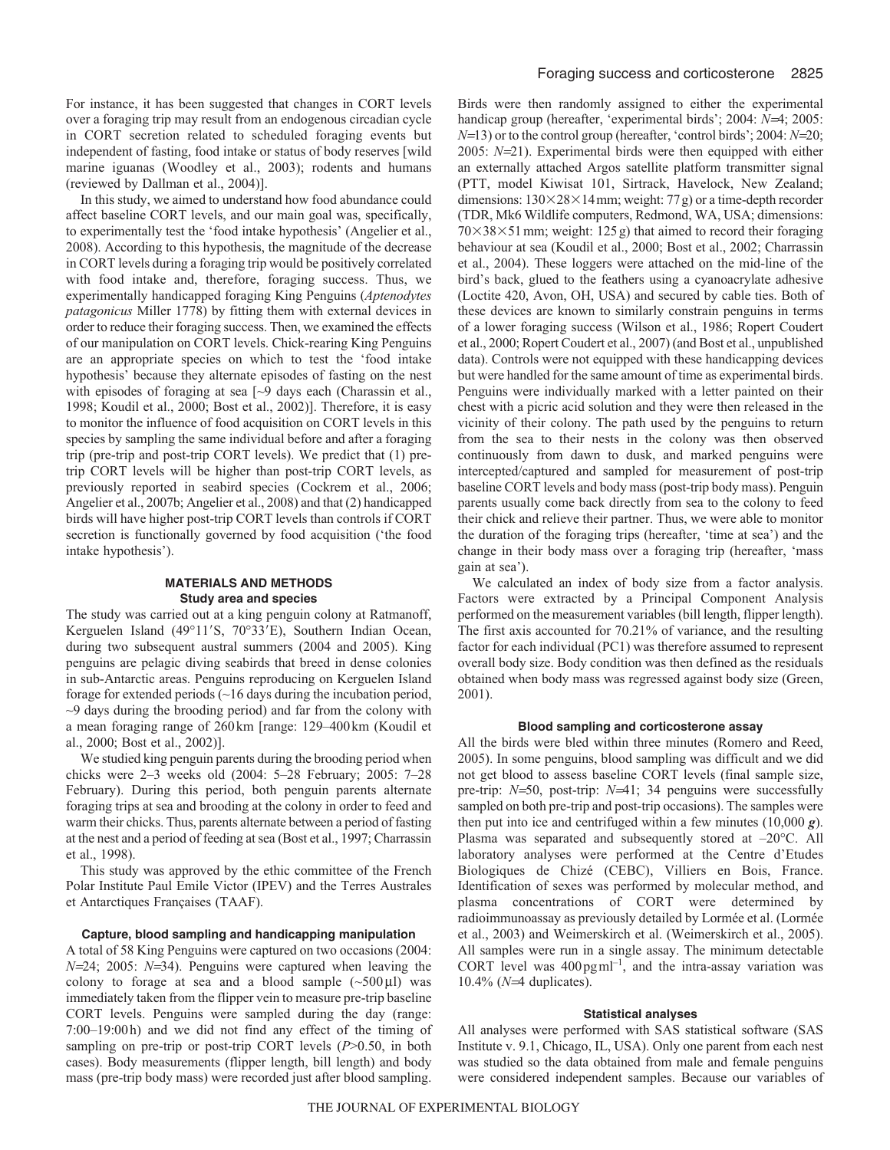For instance, it has been suggested that changes in CORT levels over a foraging trip may result from an endogenous circadian cycle in CORT secretion related to scheduled foraging events but independent of fasting, food intake or status of body reserves [wild marine iguanas (Woodley et al., 2003); rodents and humans (reviewed by Dallman et al., 2004)].

In this study, we aimed to understand how food abundance could affect baseline CORT levels, and our main goal was, specifically, to experimentally test the 'food intake hypothesis' (Angelier et al., 2008). According to this hypothesis, the magnitude of the decrease in CORT levels during a foraging trip would be positively correlated with food intake and, therefore, foraging success. Thus, we experimentally handicapped foraging King Penguins (*Aptenodytes patagonicus* Miller 1778) by fitting them with external devices in order to reduce their foraging success. Then, we examined the effects of our manipulation on CORT levels. Chick-rearing King Penguins are an appropriate species on which to test the 'food intake hypothesis' because they alternate episodes of fasting on the nest with episodes of foraging at sea [ $\sim$ 9 days each (Charassin et al., 1998; Koudil et al., 2000; Bost et al., 2002)]. Therefore, it is easy to monitor the influence of food acquisition on CORT levels in this species by sampling the same individual before and after a foraging trip (pre-trip and post-trip CORT levels). We predict that (1) pretrip CORT levels will be higher than post-trip CORT levels, as previously reported in seabird species (Cockrem et al., 2006; Angelier et al., 2007b; Angelier et al., 2008) and that (2) handicapped birds will have higher post-trip CORT levels than controls if CORT secretion is functionally governed by food acquisition ('the food intake hypothesis').

## **MATERIALS AND METHODS Study area and species**

The study was carried out at a king penguin colony at Ratmanoff, Kerguelen Island (49°11'S, 70°33'E), Southern Indian Ocean, during two subsequent austral summers (2004 and 2005). King penguins are pelagic diving seabirds that breed in dense colonies in sub-Antarctic areas. Penguins reproducing on Kerguelen Island forage for extended periods (~16 days during the incubation period, ~9 days during the brooding period) and far from the colony with a mean foraging range of 260km [range: 129–400km (Koudil et al., 2000; Bost et al., 2002)].

We studied king penguin parents during the brooding period when chicks were 2–3 weeks old (2004: 5–28 February; 2005: 7–28 February). During this period, both penguin parents alternate foraging trips at sea and brooding at the colony in order to feed and warm their chicks. Thus, parents alternate between a period of fasting at the nest and a period of feeding at sea (Bost et al., 1997; Charrassin et al., 1998).

This study was approved by the ethic committee of the French Polar Institute Paul Emile Victor (IPEV) and the Terres Australes et Antarctiques Françaises (TAAF).

#### **Capture, blood sampling and handicapping manipulation**

A total of 58 King Penguins were captured on two occasions (2004: *N*=24; 2005: *N*=34). Penguins were captured when leaving the colony to forage at sea and a blood sample  $(\sim 500 \,\mu\text{J})$  was immediately taken from the flipper vein to measure pre-trip baseline CORT levels. Penguins were sampled during the day (range: 7:00–19:00h) and we did not find any effect of the timing of sampling on pre-trip or post-trip CORT levels (*P*>0.50, in both cases). Body measurements (flipper length, bill length) and body mass (pre-trip body mass) were recorded just after blood sampling. Birds were then randomly assigned to either the experimental handicap group (hereafter, 'experimental birds'; 2004: *N*=4; 2005: *N*=13) or to the control group (hereafter, 'control birds'; 2004: *N*=20; 2005: *N*=21). Experimental birds were then equipped with either an externally attached Argos satellite platform transmitter signal (PTT, model Kiwisat 101, Sirtrack, Havelock, New Zealand; dimensions:  $130\times28\times14$  mm; weight: 77g) or a time-depth recorder (TDR, Mk6 Wildlife computers, Redmond, WA, USA; dimensions:  $70\times38\times51$  mm; weight: 125 g) that aimed to record their foraging behaviour at sea (Koudil et al., 2000; Bost et al., 2002; Charrassin et al., 2004). These loggers were attached on the mid-line of the bird's back, glued to the feathers using a cyanoacrylate adhesive (Loctite 420, Avon, OH, USA) and secured by cable ties. Both of these devices are known to similarly constrain penguins in terms of a lower foraging success (Wilson et al., 1986; Ropert Coudert et al., 2000; Ropert Coudert et al., 2007) (and Bost et al., unpublished data). Controls were not equipped with these handicapping devices but were handled for the same amount of time as experimental birds. Penguins were individually marked with a letter painted on their chest with a picric acid solution and they were then released in the vicinity of their colony. The path used by the penguins to return from the sea to their nests in the colony was then observed continuously from dawn to dusk, and marked penguins were intercepted/captured and sampled for measurement of post-trip baseline CORT levels and body mass (post-trip body mass). Penguin parents usually come back directly from sea to the colony to feed their chick and relieve their partner. Thus, we were able to monitor the duration of the foraging trips (hereafter, 'time at sea') and the change in their body mass over a foraging trip (hereafter, 'mass gain at sea').

We calculated an index of body size from a factor analysis. Factors were extracted by a Principal Component Analysis performed on the measurement variables (bill length, flipper length). The first axis accounted for 70.21% of variance, and the resulting factor for each individual (PC1) was therefore assumed to represent overall body size. Body condition was then defined as the residuals obtained when body mass was regressed against body size (Green, 2001).

#### **Blood sampling and corticosterone assay**

All the birds were bled within three minutes (Romero and Reed, 2005). In some penguins, blood sampling was difficult and we did not get blood to assess baseline CORT levels (final sample size, pre-trip: *N*=50, post-trip: *N*=41; 34 penguins were successfully sampled on both pre-trip and post-trip occasions). The samples were then put into ice and centrifuged within a few minutes (10,000 *g*). Plasma was separated and subsequently stored at –20°C. All laboratory analyses were performed at the Centre d'Etudes Biologiques de Chizé (CEBC), Villiers en Bois, France. Identification of sexes was performed by molecular method, and plasma concentrations of CORT were determined by radioimmunoassay as previously detailed by Lormée et al. (Lormée et al., 2003) and Weimerskirch et al. (Weimerskirch et al., 2005). All samples were run in a single assay. The minimum detectable CORT level was  $400 \,\text{pg}\,\text{ml}^{-1}$ , and the intra-assay variation was 10.4% (*N*=4 duplicates).

#### **Statistical analyses**

All analyses were performed with SAS statistical software (SAS Institute v. 9.1, Chicago, IL, USA). Only one parent from each nest was studied so the data obtained from male and female penguins were considered independent samples. Because our variables of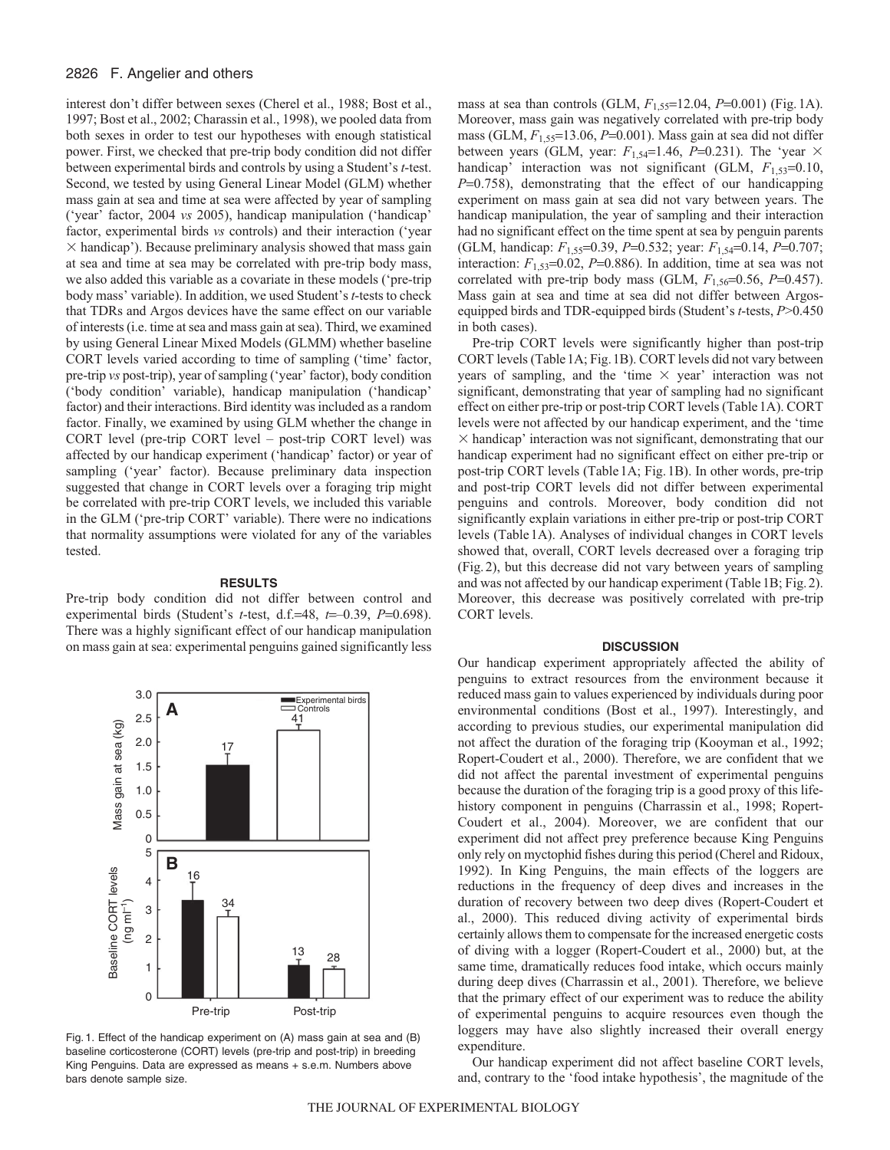## 2826 F. Angelier and others

interest don't differ between sexes (Cherel et al., 1988; Bost et al., 1997; Bost et al., 2002; Charassin et al., 1998), we pooled data from both sexes in order to test our hypotheses with enough statistical power. First, we checked that pre-trip body condition did not differ between experimental birds and controls by using a Student's *t*-test. Second, we tested by using General Linear Model (GLM) whether mass gain at sea and time at sea were affected by year of sampling ('year' factor, 2004 *vs* 2005), handicap manipulation ('handicap' factor, experimental birds *vs* controls) and their interaction ('year  $\times$  handicap'). Because preliminary analysis showed that mass gain at sea and time at sea may be correlated with pre-trip body mass, we also added this variable as a covariate in these models ('pre-trip body mass' variable). In addition, we used Student's *t*-tests to check that TDRs and Argos devices have the same effect on our variable of interests (i.e. time at sea and mass gain at sea). Third, we examined by using General Linear Mixed Models (GLMM) whether baseline CORT levels varied according to time of sampling ('time' factor, pre-trip *vs* post-trip), year of sampling ('year' factor), body condition ('body condition' variable), handicap manipulation ('handicap' factor) and their interactions. Bird identity was included as a random factor. Finally, we examined by using GLM whether the change in CORT level (pre-trip CORT level – post-trip CORT level) was affected by our handicap experiment ('handicap' factor) or year of sampling ('year' factor). Because preliminary data inspection suggested that change in CORT levels over a foraging trip might be correlated with pre-trip CORT levels, we included this variable in the GLM ('pre-trip CORT' variable). There were no indications that normality assumptions were violated for any of the variables tested.

#### **RESULTS**

Pre-trip body condition did not differ between control and experimental birds (Student's *t*-test, d.f.=48, *t*=–0.39, *P*=0.698). There was a highly significant effect of our handicap manipulation on mass gain at sea: experimental penguins gained significantly less



Fig. 1. Effect of the handicap experiment on (A) mass gain at sea and (B) baseline corticosterone (CORT) levels (pre-trip and post-trip) in breeding King Penguins. Data are expressed as means + s.e.m. Numbers above bars denote sample size.

mass at sea than controls (GLM, *F*1,55=12.04, *P*=0.001) (Fig.1A). Moreover, mass gain was negatively correlated with pre-trip body mass (GLM, *F*1,55=13.06, *P*=0.001). Mass gain at sea did not differ between years (GLM, year:  $F_{1,54}=1.46$ ,  $P=0.231$ ). The 'year  $\times$ handicap' interaction was not significant (GLM,  $F_{1,53}=0.10$ , *P*=0.758), demonstrating that the effect of our handicapping experiment on mass gain at sea did not vary between years. The handicap manipulation, the year of sampling and their interaction had no significant effect on the time spent at sea by penguin parents (GLM, handicap: *F*1,55=0.39, *P*=0.532; year: *F*1,54=0.14, *P*=0.707; interaction:  $F_{1,53}=0.02$ ,  $P=0.886$ ). In addition, time at sea was not correlated with pre-trip body mass (GLM,  $F_{1,56}$ =0.56, *P*=0.457). Mass gain at sea and time at sea did not differ between Argosequipped birds and TDR-equipped birds (Student's *t*-tests, *P*>0.450 in both cases).

Pre-trip CORT levels were significantly higher than post-trip CORT levels (Table1A; Fig.1B). CORT levels did not vary between years of sampling, and the 'time  $\times$  year' interaction was not significant, demonstrating that year of sampling had no significant effect on either pre-trip or post-trip CORT levels (Table1A). CORT levels were not affected by our handicap experiment, and the 'time  $\times$  handicap' interaction was not significant, demonstrating that our handicap experiment had no significant effect on either pre-trip or post-trip CORT levels (Table1A; Fig.1B). In other words, pre-trip and post-trip CORT levels did not differ between experimental penguins and controls. Moreover, body condition did not significantly explain variations in either pre-trip or post-trip CORT levels (Table1A). Analyses of individual changes in CORT levels showed that, overall, CORT levels decreased over a foraging trip (Fig.2), but this decrease did not vary between years of sampling and was not affected by our handicap experiment (Table1B; Fig.2). Moreover, this decrease was positively correlated with pre-trip CORT levels.

#### **DISCUSSION**

Our handicap experiment appropriately affected the ability of penguins to extract resources from the environment because it reduced mass gain to values experienced by individuals during poor environmental conditions (Bost et al., 1997). Interestingly, and according to previous studies, our experimental manipulation did not affect the duration of the foraging trip (Kooyman et al., 1992; Ropert-Coudert et al., 2000). Therefore, we are confident that we did not affect the parental investment of experimental penguins because the duration of the foraging trip is a good proxy of this lifehistory component in penguins (Charrassin et al., 1998; Ropert-Coudert et al., 2004). Moreover, we are confident that our experiment did not affect prey preference because King Penguins only rely on myctophid fishes during this period (Cherel and Ridoux, 1992). In King Penguins, the main effects of the loggers are reductions in the frequency of deep dives and increases in the duration of recovery between two deep dives (Ropert-Coudert et al., 2000). This reduced diving activity of experimental birds certainly allows them to compensate for the increased energetic costs of diving with a logger (Ropert-Coudert et al., 2000) but, at the same time, dramatically reduces food intake, which occurs mainly during deep dives (Charrassin et al., 2001). Therefore, we believe that the primary effect of our experiment was to reduce the ability of experimental penguins to acquire resources even though the loggers may have also slightly increased their overall energy expenditure.

Our handicap experiment did not affect baseline CORT levels, and, contrary to the 'food intake hypothesis', the magnitude of the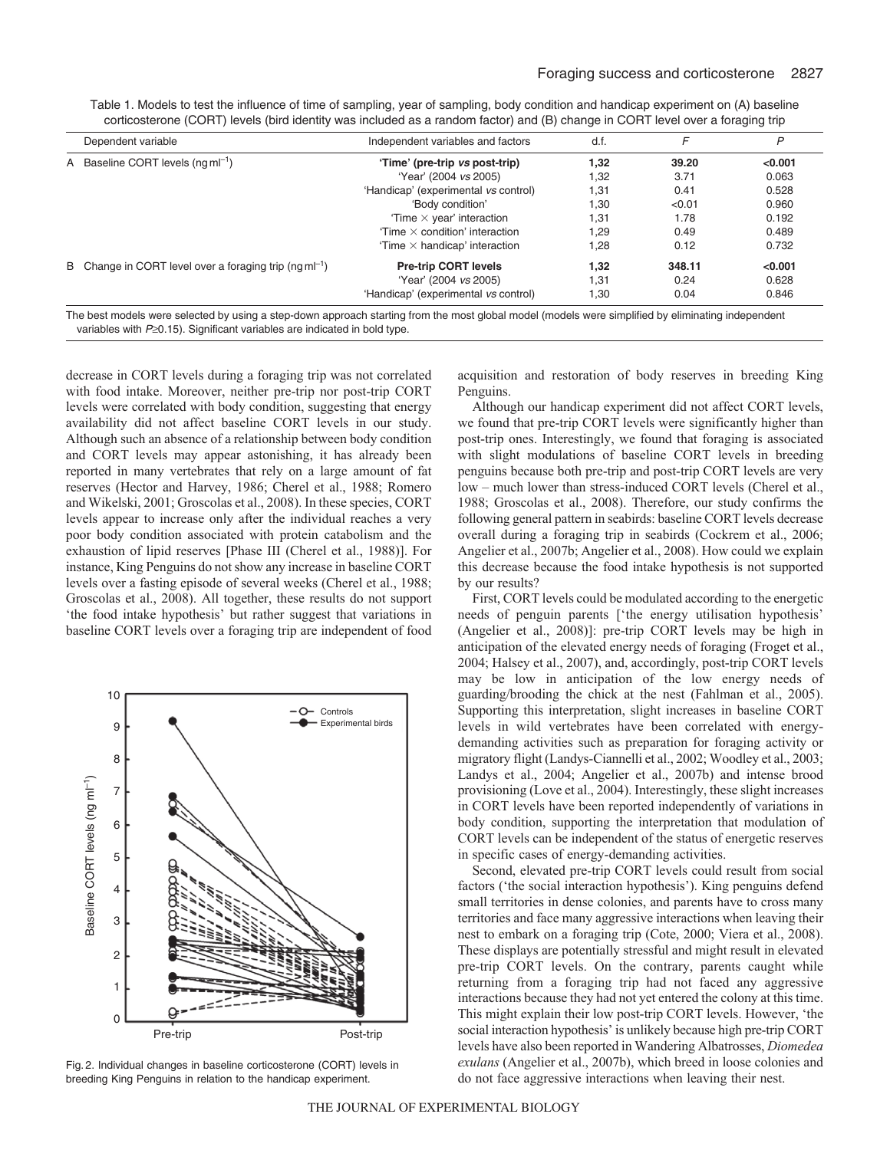|  | Dependent variable                                                                                                                                 | Independent variables and factors    | d.f. |        | P       |
|--|----------------------------------------------------------------------------------------------------------------------------------------------------|--------------------------------------|------|--------|---------|
|  | A Baseline CORT levels $(nqml^{-1})$                                                                                                               | 'Time' (pre-trip vs post-trip)       | 1,32 | 39.20  | < 0.001 |
|  |                                                                                                                                                    | 'Year' (2004 vs 2005)                | 1,32 | 3.71   | 0.063   |
|  |                                                                                                                                                    | 'Handicap' (experimental vs control) | 1,31 | 0.41   | 0.528   |
|  |                                                                                                                                                    | 'Body condition'                     | 1.30 | < 0.01 | 0.960   |
|  |                                                                                                                                                    | Time $\times$ year' interaction      | 1,31 | 1.78   | 0.192   |
|  |                                                                                                                                                    | Time $\times$ condition' interaction | 1.29 | 0.49   | 0.489   |
|  |                                                                                                                                                    | Time $\times$ handicap' interaction  | 1,28 | 0.12   | 0.732   |
|  | B Change in CORT level over a foraging trip $(nqml^{-1})$                                                                                          | <b>Pre-trip CORT levels</b>          | 1.32 | 348.11 | < 0.001 |
|  |                                                                                                                                                    | 'Year' (2004 vs 2005)                | 1.31 | 0.24   | 0.628   |
|  |                                                                                                                                                    | 'Handicap' (experimental vs control) | 1,30 | 0.04   | 0.846   |
|  | The best models were selected by using a step-down approach starting from the most global model (models were simplified by eliminating independent |                                      |      |        |         |

Table 1. Models to test the influence of time of sampling, year of sampling, body condition and handicap experiment on (A) baseline corticosterone (CORT) levels (bird identity was included as a random factor) and (B) change in CORT level over a foraging trip

The best models were selected by using a step-down approach starting from the most global model (models were simplified by eliminating independent variables with P≥0.15). Significant variables are indicated in bold type.

decrease in CORT levels during a foraging trip was not correlated with food intake. Moreover, neither pre-trip nor post-trip CORT levels were correlated with body condition, suggesting that energy availability did not affect baseline CORT levels in our study. Although such an absence of a relationship between body condition and CORT levels may appear astonishing, it has already been reported in many vertebrates that rely on a large amount of fat reserves (Hector and Harvey, 1986; Cherel et al., 1988; Romero and Wikelski, 2001; Groscolas et al., 2008). In these species, CORT levels appear to increase only after the individual reaches a very poor body condition associated with protein catabolism and the exhaustion of lipid reserves [Phase III (Cherel et al., 1988)]. For instance, King Penguins do not show any increase in baseline CORT levels over a fasting episode of several weeks (Cherel et al., 1988; Groscolas et al., 2008). All together, these results do not support 'the food intake hypothesis' but rather suggest that variations in baseline CORT levels over a foraging trip are independent of food



Fig. 2. Individual changes in baseline corticosterone (CORT) levels in breeding King Penguins in relation to the handicap experiment.

acquisition and restoration of body reserves in breeding King Penguins.

Although our handicap experiment did not affect CORT levels, we found that pre-trip CORT levels were significantly higher than post-trip ones. Interestingly, we found that foraging is associated with slight modulations of baseline CORT levels in breeding penguins because both pre-trip and post-trip CORT levels are very low – much lower than stress-induced CORT levels (Cherel et al., 1988; Groscolas et al., 2008). Therefore, our study confirms the following general pattern in seabirds: baseline CORT levels decrease overall during a foraging trip in seabirds (Cockrem et al., 2006; Angelier et al., 2007b; Angelier et al., 2008). How could we explain this decrease because the food intake hypothesis is not supported by our results?

First, CORT levels could be modulated according to the energetic needs of penguin parents ['the energy utilisation hypothesis' (Angelier et al., 2008)]: pre-trip CORT levels may be high in anticipation of the elevated energy needs of foraging (Froget et al., 2004; Halsey et al., 2007), and, accordingly, post-trip CORT levels may be low in anticipation of the low energy needs of guarding/brooding the chick at the nest (Fahlman et al., 2005). Supporting this interpretation, slight increases in baseline CORT levels in wild vertebrates have been correlated with energydemanding activities such as preparation for foraging activity or migratory flight (Landys-Ciannelli et al., 2002; Woodley et al., 2003; Landys et al., 2004; Angelier et al., 2007b) and intense brood provisioning (Love et al., 2004). Interestingly, these slight increases in CORT levels have been reported independently of variations in body condition, supporting the interpretation that modulation of CORT levels can be independent of the status of energetic reserves in specific cases of energy-demanding activities.

Second, elevated pre-trip CORT levels could result from social factors ('the social interaction hypothesis'). King penguins defend small territories in dense colonies, and parents have to cross many territories and face many aggressive interactions when leaving their nest to embark on a foraging trip (Cote, 2000; Viera et al., 2008). These displays are potentially stressful and might result in elevated pre-trip CORT levels. On the contrary, parents caught while returning from a foraging trip had not faced any aggressive interactions because they had not yet entered the colony at this time. This might explain their low post-trip CORT levels. However, 'the social interaction hypothesis' is unlikely because high pre-trip CORT levels have also been reported in Wandering Albatrosses, *Diomedea exulans* (Angelier et al., 2007b), which breed in loose colonies and do not face aggressive interactions when leaving their nest.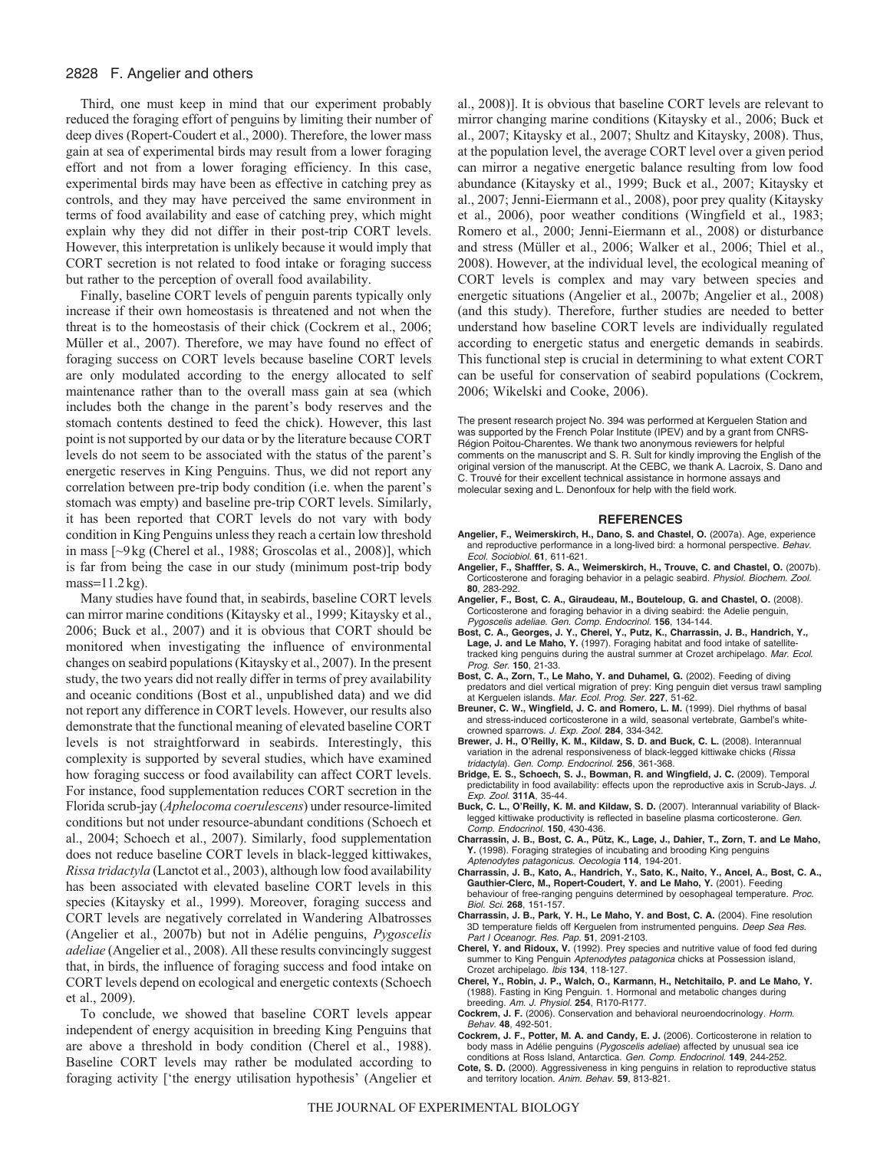## 2828 F. Angelier and others

Third, one must keep in mind that our experiment probably reduced the foraging effort of penguins by limiting their number of deep dives (Ropert-Coudert et al., 2000). Therefore, the lower mass gain at sea of experimental birds may result from a lower foraging effort and not from a lower foraging efficiency. In this case, experimental birds may have been as effective in catching prey as controls, and they may have perceived the same environment in terms of food availability and ease of catching prey, which might explain why they did not differ in their post-trip CORT levels. However, this interpretation is unlikely because it would imply that CORT secretion is not related to food intake or foraging success but rather to the perception of overall food availability.

Finally, baseline CORT levels of penguin parents typically only increase if their own homeostasis is threatened and not when the threat is to the homeostasis of their chick (Cockrem et al., 2006; Müller et al., 2007). Therefore, we may have found no effect of foraging success on CORT levels because baseline CORT levels are only modulated according to the energy allocated to self maintenance rather than to the overall mass gain at sea (which includes both the change in the parent's body reserves and the stomach contents destined to feed the chick). However, this last point is not supported by our data or by the literature because CORT levels do not seem to be associated with the status of the parent's energetic reserves in King Penguins. Thus, we did not report any correlation between pre-trip body condition (i.e. when the parent's stomach was empty) and baseline pre-trip CORT levels. Similarly, it has been reported that CORT levels do not vary with body condition in King Penguins unless they reach a certain low threshold in mass [~9kg (Cherel et al., 1988; Groscolas et al., 2008)], which is far from being the case in our study (minimum post-trip body mass=11.2kg).

Many studies have found that, in seabirds, baseline CORT levels can mirror marine conditions (Kitaysky et al., 1999; Kitaysky et al., 2006; Buck et al., 2007) and it is obvious that CORT should be monitored when investigating the influence of environmental changes on seabird populations (Kitaysky et al., 2007). In the present study, the two years did not really differ in terms of prey availability and oceanic conditions (Bost et al., unpublished data) and we did not report any difference in CORT levels. However, our results also demonstrate that the functional meaning of elevated baseline CORT levels is not straightforward in seabirds. Interestingly, this complexity is supported by several studies, which have examined how foraging success or food availability can affect CORT levels. For instance, food supplementation reduces CORT secretion in the Florida scrub-jay (*Aphelocoma coerulescens*) under resource-limited conditions but not under resource-abundant conditions (Schoech et al., 2004; Schoech et al., 2007). Similarly, food supplementation does not reduce baseline CORT levels in black-legged kittiwakes, *Rissa tridactyla* (Lanctot et al., 2003), although low food availability has been associated with elevated baseline CORT levels in this species (Kitaysky et al., 1999). Moreover, foraging success and CORT levels are negatively correlated in Wandering Albatrosses (Angelier et al., 2007b) but not in Adélie penguins, *Pygoscelis adeliae* (Angelier et al., 2008). All these results convincingly suggest that, in birds, the influence of foraging success and food intake on CORT levels depend on ecological and energetic contexts (Schoech et al., 2009).

To conclude, we showed that baseline CORT levels appear independent of energy acquisition in breeding King Penguins that are above a threshold in body condition (Cherel et al., 1988). Baseline CORT levels may rather be modulated according to foraging activity ['the energy utilisation hypothesis' (Angelier et al., 2008)]. It is obvious that baseline CORT levels are relevant to mirror changing marine conditions (Kitaysky et al., 2006; Buck et al., 2007; Kitaysky et al., 2007; Shultz and Kitaysky, 2008). Thus, at the population level, the average CORT level over a given period can mirror a negative energetic balance resulting from low food abundance (Kitaysky et al., 1999; Buck et al., 2007; Kitaysky et al., 2007; Jenni-Eiermann et al., 2008), poor prey quality (Kitaysky et al., 2006), poor weather conditions (Wingfield et al., 1983; Romero et al., 2000; Jenni-Eiermann et al., 2008) or disturbance and stress (Müller et al., 2006; Walker et al., 2006; Thiel et al., 2008). However, at the individual level, the ecological meaning of CORT levels is complex and may vary between species and energetic situations (Angelier et al., 2007b; Angelier et al., 2008) (and this study). Therefore, further studies are needed to better understand how baseline CORT levels are individually regulated according to energetic status and energetic demands in seabirds. This functional step is crucial in determining to what extent CORT can be useful for conservation of seabird populations (Cockrem, 2006; Wikelski and Cooke, 2006).

The present research project No. 394 was performed at Kerguelen Station and was supported by the French Polar Institute (IPEV) and by a grant from CNRS-Région Poitou-Charentes. We thank two anonymous reviewers for helpful comments on the manuscript and S. R. Sult for kindly improving the English of the original version of the manuscript. At the CEBC, we thank A. Lacroix, S. Dano and C. Trouvé for their excellent technical assistance in hormone assays and molecular sexing and L. Denonfoux for help with the field work.

#### **REFERENCES**

- **Angelier, F., Weimerskirch, H., Dano, S. and Chastel, O.** (2007a). Age, experience and reproductive performance in a long-lived bird: a hormonal perspective. Behav. Ecol. Sociobiol. **61**, 611-621.
- **Angelier, F., Shafffer, S. A., Weimerskirch, H., Trouve, C. and Chastel, O.** (2007b). Corticosterone and foraging behavior in a pelagic seabird. Physiol. Biochem. Zool. **80**, 283-292.
- **Angelier, F., Bost, C. A., Giraudeau, M., Bouteloup, G. and Chastel, O.** (2008). Corticosterone and foraging behavior in a diving seabird: the Adelie penguin, Pygoscelis adeliae. Gen. Comp. Endocrinol. **156**, 134-144.
- **Bost, C. A., Georges, J. Y., Cherel, Y., Putz, K., Charrassin, J. B., Handrich, Y., Lage, J. and Le Maho, Y.** (1997). Foraging habitat and food intake of satellitetracked king penguins during the austral summer at Crozet archipelago. Mar. Ecol. Prog. Ser. **150**, 21-33.
- **Bost, C. A., Zorn, T., Le Maho, Y. and Duhamel, G.** (2002). Feeding of diving predators and diel vertical migration of prey: King penguin diet versus trawl sampling at Kerguelen islands. Mar. Ecol. Prog. Ser. **227**, 51-62.
- **Breuner, C. W., Wingfield, J. C. and Romero, L. M.** (1999). Diel rhythms of basal and stress-induced corticosterone in a wild, seasonal vertebrate, Gambel's whitecrowned sparrows. J. Exp. Zool. **284**, 334-342.
- **Brewer, J. H., O'Reilly, K. M., Kildaw, S. D. and Buck, C. L.** (2008). Interannual variation in the adrenal responsiveness of black-legged kittiwake chicks (Rissa tridactyla). Gen. Comp. Endocrinol. **256**, 361-368.
- **Bridge, E. S., Schoech, S. J., Bowman, R. and Wingfield, J. C.** (2009). Temporal predictability in food availability: effects upon the reproductive axis in Scrub-Jays. J. Exp. Zool. **311A**, 35-44.
- **Buck, C. L., O'Reilly, K. M. and Kildaw, S. D.** (2007). Interannual variability of Blacklegged kittiwake productivity is reflected in baseline plasma corticosterone. Gen. Comp. Endocrinol. **150**, 430-436.
- **Charrassin, J. B., Bost, C. A., Pütz, K., Lage, J., Dahier, T., Zorn, T. and Le Maho, Y.** (1998). Foraging strategies of incubating and brooding King penguins Aptenodytes patagonicus. Oecologia **114**, 194-201.
- **Charrassin, J. B., Kato, A., Handrich, Y., Sato, K., Naito, Y., Ancel, A., Bost, C. A., Gauthier-Clerc, M., Ropert-Coudert, Y. and Le Maho, Y.** (2001). Feeding behaviour of free-ranging penguins determined by oesophageal temperature. Proc. Biol. Sci. **268**, 151-157.
- **Charrassin, J. B., Park, Y. H., Le Maho, Y. and Bost, C. A.** (2004). Fine resolution 3D temperature fields off Kerguelen from instrumented penguins. Deep Sea Res. Part I Oceanogr. Res. Pap. **51**, 2091-2103.
- **Cherel, Y. and Ridoux, V.** (1992). Prey species and nutritive value of food fed during summer to King Penguin Aptenodytes patagonica chicks at Possession island, Crozet archipelago. Ibis **134**, 118-127.
- **Cherel, Y., Robin, J. P., Walch, O., Karmann, H., Netchitailo, P. and Le Maho, Y.** (1988). Fasting in King Penguin. 1. Hormonal and metabolic changes during breeding. Am. J. Physiol. **254**, R170-R177.
- **Cockrem, J. F.** (2006). Conservation and behavioral neuroendocrinology. Horm. Behav. **48**, 492-501.
- **Cockrem, J. F., Potter, M. A. and Candy, E. J.** (2006). Corticosterone in relation to body mass in Adélie penguins (Pygoscelis adeliae) affected by unusual sea ice conditions at Ross Island, Antarctica. Gen. Comp. Endocrinol. **149**, 244-252.
- **Cote, S. D.** (2000). Aggressiveness in king penguins in relation to reproductive status and territory location. Anim. Behav. **59**, 813-821.